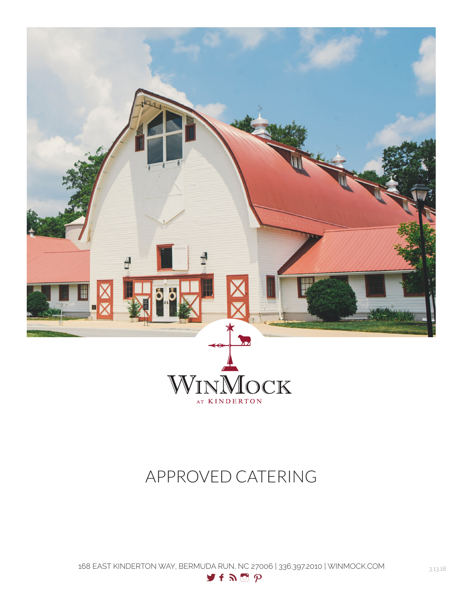

# APPROVED CATERING

168 EAST KINDERTON WAY, BERMUDA RUN, NC 27006 | 336.397.2010 | WINMOCK.COM